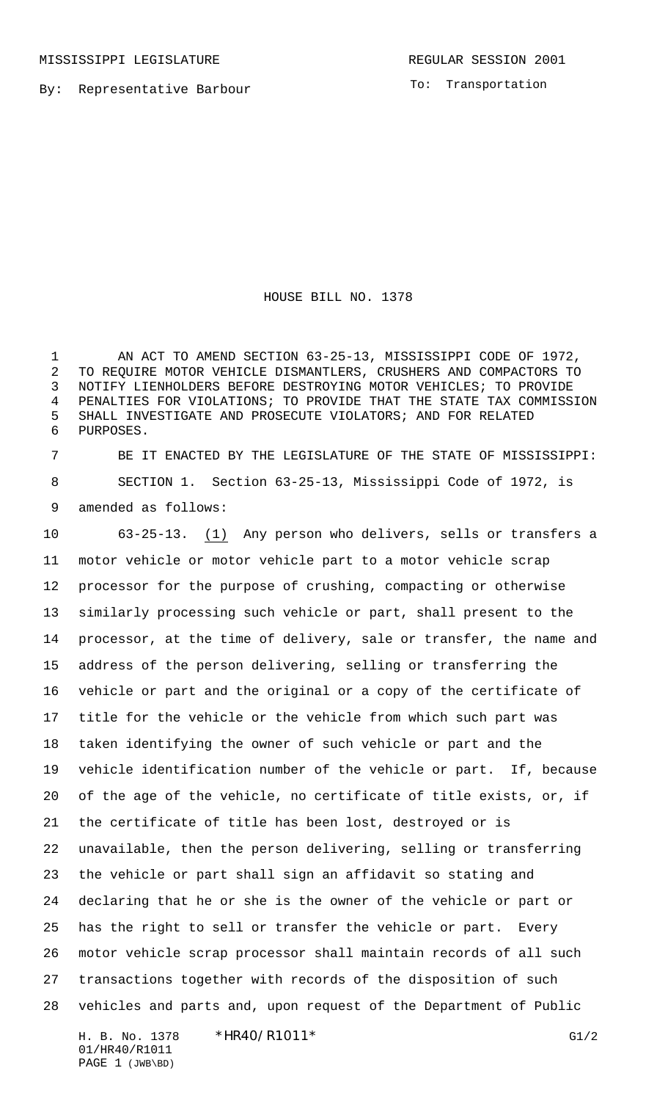MISSISSIPPI LEGISLATURE **REGULAR SESSION 2001** 

By: Representative Barbour

To: Transportation

HOUSE BILL NO. 1378

 AN ACT TO AMEND SECTION 63-25-13, MISSISSIPPI CODE OF 1972, TO REQUIRE MOTOR VEHICLE DISMANTLERS, CRUSHERS AND COMPACTORS TO NOTIFY LIENHOLDERS BEFORE DESTROYING MOTOR VEHICLES; TO PROVIDE PENALTIES FOR VIOLATIONS; TO PROVIDE THAT THE STATE TAX COMMISSION SHALL INVESTIGATE AND PROSECUTE VIOLATORS; AND FOR RELATED PURPOSES.

 BE IT ENACTED BY THE LEGISLATURE OF THE STATE OF MISSISSIPPI: SECTION 1. Section 63-25-13, Mississippi Code of 1972, is amended as follows:

 63-25-13. (1) Any person who delivers, sells or transfers a motor vehicle or motor vehicle part to a motor vehicle scrap processor for the purpose of crushing, compacting or otherwise similarly processing such vehicle or part, shall present to the processor, at the time of delivery, sale or transfer, the name and address of the person delivering, selling or transferring the vehicle or part and the original or a copy of the certificate of title for the vehicle or the vehicle from which such part was taken identifying the owner of such vehicle or part and the vehicle identification number of the vehicle or part. If, because of the age of the vehicle, no certificate of title exists, or, if the certificate of title has been lost, destroyed or is unavailable, then the person delivering, selling or transferring the vehicle or part shall sign an affidavit so stating and declaring that he or she is the owner of the vehicle or part or has the right to sell or transfer the vehicle or part. Every motor vehicle scrap processor shall maintain records of all such transactions together with records of the disposition of such vehicles and parts and, upon request of the Department of Public

H. B. No. 1378 \*HR40/R1011\* G1/2 01/HR40/R1011 PAGE 1 (JWB\BD)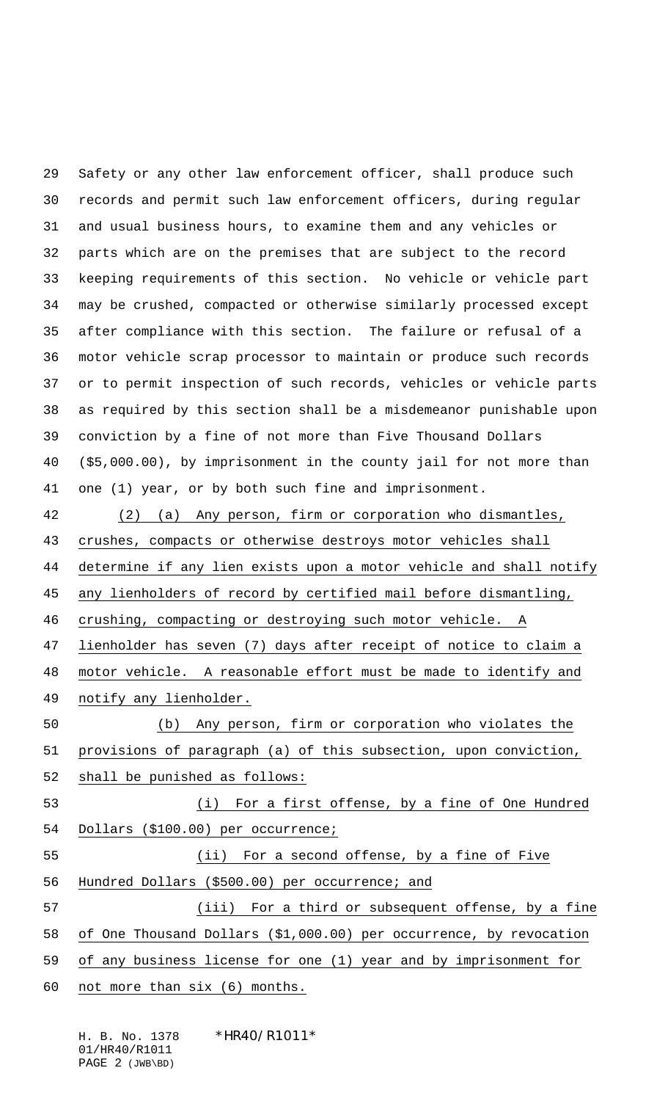Safety or any other law enforcement officer, shall produce such records and permit such law enforcement officers, during regular and usual business hours, to examine them and any vehicles or parts which are on the premises that are subject to the record keeping requirements of this section. No vehicle or vehicle part may be crushed, compacted or otherwise similarly processed except after compliance with this section. The failure or refusal of a motor vehicle scrap processor to maintain or produce such records or to permit inspection of such records, vehicles or vehicle parts as required by this section shall be a misdemeanor punishable upon conviction by a fine of not more than Five Thousand Dollars (\$5,000.00), by imprisonment in the county jail for not more than one (1) year, or by both such fine and imprisonment.

 (2) (a) Any person, firm or corporation who dismantles, crushes, compacts or otherwise destroys motor vehicles shall determine if any lien exists upon a motor vehicle and shall notify any lienholders of record by certified mail before dismantling, 46 crushing, compacting or destroying such motor vehicle. A lienholder has seven (7) days after receipt of notice to claim a motor vehicle. A reasonable effort must be made to identify and 49 notify any lienholder. (b) Any person, firm or corporation who violates the provisions of paragraph (a) of this subsection, upon conviction, shall be punished as follows: (i) For a first offense, by a fine of One Hundred Dollars (\$100.00) per occurrence; (ii) For a second offense, by a fine of Five Hundred Dollars (\$500.00) per occurrence; and (iii) For a third or subsequent offense, by a fine of One Thousand Dollars (\$1,000.00) per occurrence, by revocation of any business license for one (1) year and by imprisonment for not more than six (6) months.

H. B. No. 1378 \*HR40/R1011\* 01/HR40/R1011 PAGE 2 (JWB\BD)